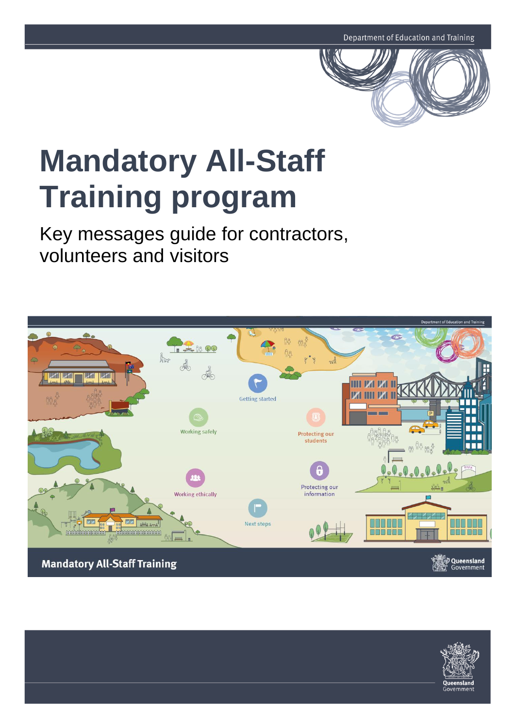

# **Mandatory All-Staff Training program**

Key messages guide for contractors, volunteers and visitors



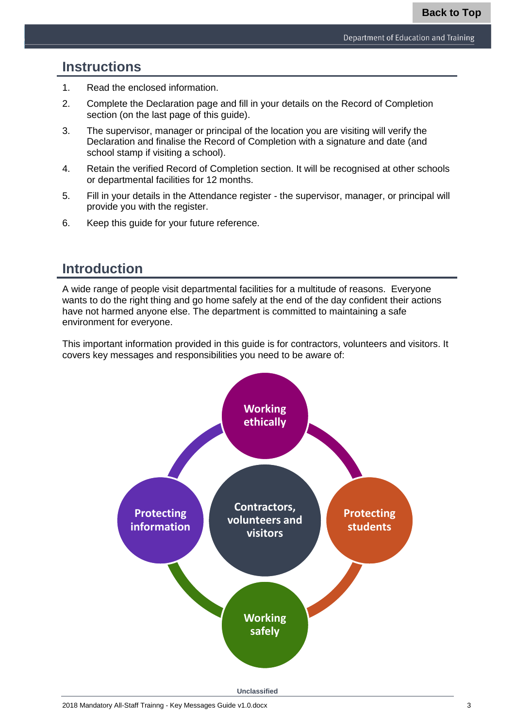# **Instructions**

- 1. Read the enclosed information.
- 2. Complete the Declaration page and fill in your details on the Record of Completion section (on the last page of this guide).
- 3. The supervisor, manager or principal of the location you are visiting will verify the Declaration and finalise the Record of Completion with a signature and date (and school stamp if visiting a school).
- 4. Retain the verified Record of Completion section. It will be recognised at other schools or departmental facilities for 12 months.
- 5. Fill in your details in the Attendance register the supervisor, manager, or principal will provide you with the register.
- 6. Keep this guide for your future reference.

# **Introduction**

A wide range of people visit departmental facilities for a multitude of reasons. Everyone wants to do the right thing and go home safely at the end of the day confident their actions have not harmed anyone else. The department is committed to maintaining a safe environment for everyone.

This important information provided in this guide is for contractors, volunteers and visitors. It covers key messages and responsibilities you need to be aware of:

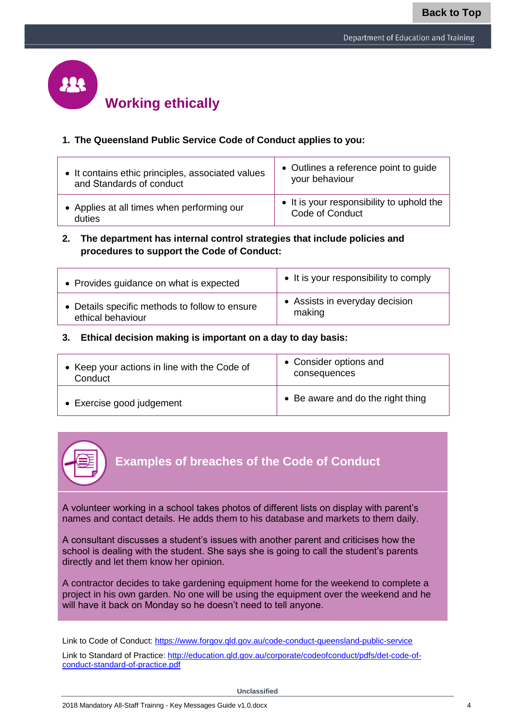

#### **1. The Queensland Public Service Code of Conduct applies to you:**

| • It contains ethic principles, associated values | • Outlines a reference point to guide     |
|---------------------------------------------------|-------------------------------------------|
| and Standards of conduct                          | your behaviour                            |
| • Applies at all times when performing our        | • It is your responsibility to uphold the |
| duties                                            | Code of Conduct                           |

#### **2. The department has internal control strategies that include policies and procedures to support the Code of Conduct:**

| • Provides guidance on what is expected        | • It is your responsibility to comply |
|------------------------------------------------|---------------------------------------|
| • Details specific methods to follow to ensure | • Assists in everyday decision        |
| ethical behaviour                              | making                                |

#### **3. Ethical decision making is important on a day to day basis:**

| • Keep your actions in line with the Code of | • Consider options and            |
|----------------------------------------------|-----------------------------------|
| Conduct                                      | consequences                      |
| • Exercise good judgement                    | • Be aware and do the right thing |



## **Examples of breaches of the Code of Conduct**

A volunteer working in a school takes photos of different lists on display with parent's names and contact details. He adds them to his database and markets to them daily.

A consultant discusses a student's issues with another parent and criticises how the school is dealing with the student. She says she is going to call the student's parents directly and let them know her opinion.

A contractor decides to take gardening equipment home for the weekend to complete a project in his own garden. No one will be using the equipment over the weekend and he will have it back on Monday so he doesn't need to tell anyone.

Link to Code of Conduct:<https://www.forgov.qld.gov.au/code-conduct-queensland-public-service>

Link to Standard of Practice: [http://education.qld.gov.au/corporate/codeofconduct/pdfs/det-code-of](http://education.qld.gov.au/corporate/codeofconduct/pdfs/det-code-of-conduct-standard-of-practice.pdf)[conduct-standard-of-practice.pdf](http://education.qld.gov.au/corporate/codeofconduct/pdfs/det-code-of-conduct-standard-of-practice.pdf)

**Unclassified**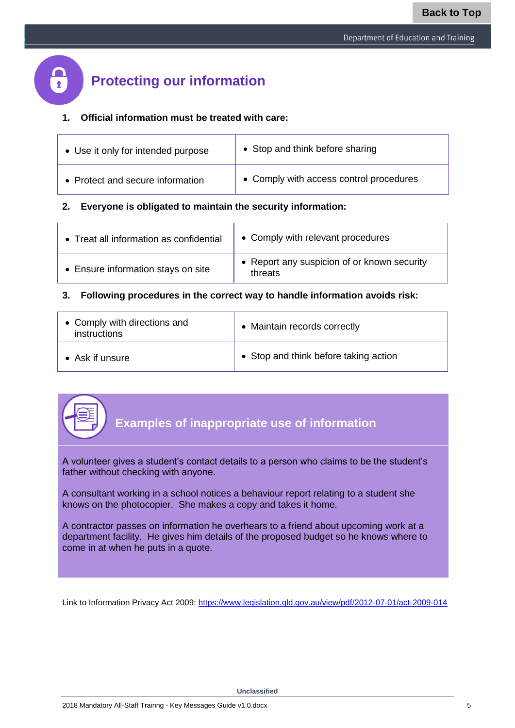# **Protecting our information**

#### **1. Official information must be treated with care:**

| • Use it only for intended purpose | • Stop and think before sharing         |
|------------------------------------|-----------------------------------------|
| • Protect and secure information   | • Comply with access control procedures |

#### **2. Everyone is obligated to maintain the security information:**

| • Treat all information as confidential | • Comply with relevant procedures                      |
|-----------------------------------------|--------------------------------------------------------|
| • Ensure information stays on site      | • Report any suspicion of or known security<br>threats |

#### **3. Following procedures in the correct way to handle information avoids risk:**

| • Comply with directions and<br>instructions | • Maintain records correctly          |
|----------------------------------------------|---------------------------------------|
| $\bullet$ Ask if unsure                      | • Stop and think before taking action |



A volunteer gives a student's contact details to a person who claims to be the student's father without checking with anyone.

A consultant working in a school notices a behaviour report relating to a student she knows on the photocopier. She makes a copy and takes it home.

A contractor passes on information he overhears to a friend about upcoming work at a department facility. He gives him details of the proposed budget so he knows where to come in at when he puts in a quote.

Link to Information Privacy Act 2009:<https://www.legislation.qld.gov.au/view/pdf/2012-07-01/act-2009-014>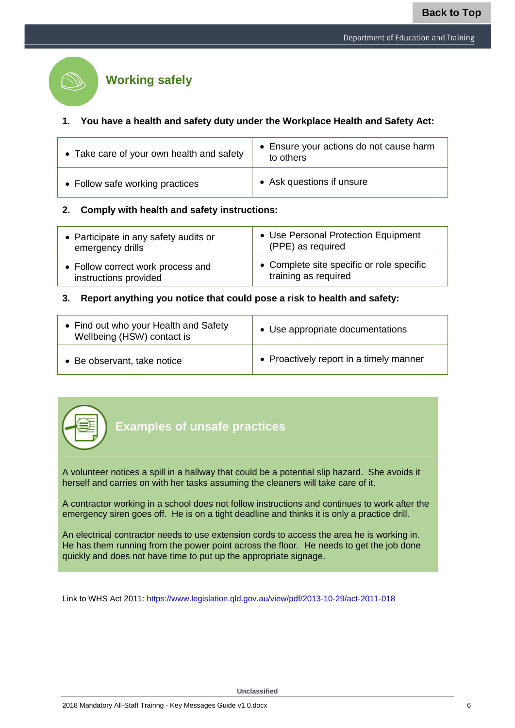

# **Working safely**

#### **1. You have a health and safety duty under the Workplace Health and Safety Act:**

| • Take care of your own health and safety | • Ensure your actions do not cause harm<br>to others |
|-------------------------------------------|------------------------------------------------------|
| • Follow safe working practices           | • Ask questions if unsure                            |

#### **2. Comply with health and safety instructions:**

| • Participate in any safety audits or | • Use Personal Protection Equipment       |
|---------------------------------------|-------------------------------------------|
| emergency drills                      | (PPE) as required                         |
| • Follow correct work process and     | • Complete site specific or role specific |
| instructions provided                 | training as required                      |

#### **3. Report anything you notice that could pose a risk to health and safety:**

| • Find out who your Health and Safety<br>Wellbeing (HSW) contact is | • Use appropriate documentations        |
|---------------------------------------------------------------------|-----------------------------------------|
| • Be observant, take notice                                         | • Proactively report in a timely manner |



**Examples of unsafe practices**

A volunteer notices a spill in a hallway that could be a potential slip hazard. She avoids it herself and carries on with her tasks assuming the cleaners will take care of it.

A contractor working in a school does not follow instructions and continues to work after the emergency siren goes off. He is on a tight deadline and thinks it is only a practice drill.

An electrical contractor needs to use extension cords to access the area he is working in. He has them running from the power point across the floor. He needs to get the job done quickly and does not have time to put up the appropriate signage.

Link to WHS Act 20[11: https://www.legislation.qld.gov.au/view/pdf/2013-10-29/act-2011-01](https://www.legislation.qld.gov.au/view/pdf/2013-10-29/act-2011-018)8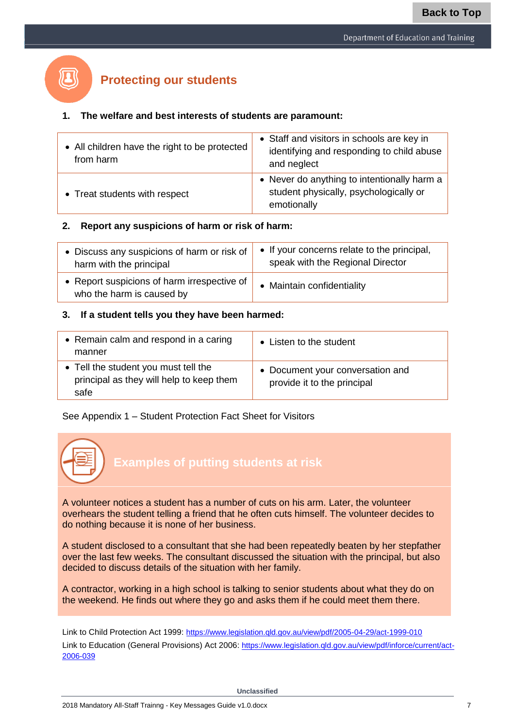# **Protecting our students**

#### **1. The welfare and best interests of students are paramount:**

| • All children have the right to be protected<br>from harm | • Staff and visitors in schools are key in<br>identifying and responding to child abuse<br>and neglect |
|------------------------------------------------------------|--------------------------------------------------------------------------------------------------------|
| • Treat students with respect                              | • Never do anything to intentionally harm a<br>student physically, psychologically or<br>emotionally   |

#### **2. Report any suspicions of harm or risk of harm:**

| • Discuss any suspicions of harm or risk of $\vert$                      | • If your concerns relate to the principal, |
|--------------------------------------------------------------------------|---------------------------------------------|
| harm with the principal                                                  | speak with the Regional Director            |
| • Report suspicions of harm irrespective of<br>who the harm is caused by | • Maintain confidentiality                  |

#### **3. If a student tells you they have been harmed:**

| • Remain calm and respond in a caring<br>manner                                          | • Listen to the student                                         |
|------------------------------------------------------------------------------------------|-----------------------------------------------------------------|
| • Tell the student you must tell the<br>principal as they will help to keep them<br>safe | • Document your conversation and<br>provide it to the principal |

#### See Appendix 1 – Student Protection Fact Sheet for Visitors



A student disclosed to a consultant that she had been repeatedly beaten by her stepfather over the last few weeks. The consultant discussed the situation with the principal, but also decided to discuss details of the situation with her family.

A contractor, working in a high school is talking to senior students about what they do on the weekend. He finds out where they go and asks them if he could meet them there.

Link to Child Protection Act 1999: <https://www.legislation.qld.gov.au/view/pdf/2005-04-29/act-1999-010>

Link to Education (General Provisions) Act 2006: https://www.legislation.gld.gov.au/view/pdf/inforce/current/act-[2006-039](https://www.legislation.qld.gov.au/view/pdf/inforce/current/act-2006-039)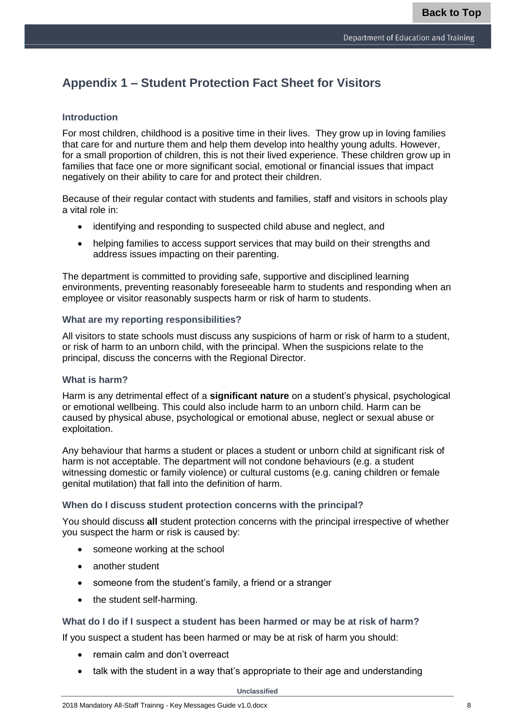# **Appendix 1 – Student Protection Fact Sheet for Visitors**

#### **Introduction**

For most children, childhood is a positive time in their lives. They grow up in loving families that care for and nurture them and help them develop into healthy young adults. However, for a small proportion of children, this is not their lived experience. These children grow up in families that face one or more significant social, emotional or financial issues that impact negatively on their ability to care for and protect their children.

Because of their regular contact with students and families, staff and visitors in schools play a vital role in:

- identifying and responding to suspected child abuse and neglect, and
- helping families to access support services that may build on their strengths and address issues impacting on their parenting.

The department is committed to providing safe, supportive and disciplined learning environments, preventing reasonably foreseeable harm to students and responding when an employee or visitor reasonably suspects harm or risk of harm to students.

#### **What are my reporting responsibilities?**

All visitors to state schools must discuss any suspicions of harm or risk of harm to a student, or risk of harm to an unborn child, with the principal. When the suspicions relate to the principal, discuss the concerns with the Regional Director.

#### **What is harm?**

Harm is any detrimental effect of a **significant nature** on a student's physical, psychological or emotional wellbeing. This could also include harm to an unborn child. Harm can be caused by physical abuse, psychological or emotional abuse, neglect or sexual abuse or exploitation.

Any behaviour that harms a student or places a student or unborn child at significant risk of harm is not acceptable. The department will not condone behaviours (e.g. a student witnessing domestic or family violence) or cultural customs (e.g. caning children or female genital mutilation) that fall into the definition of harm.

#### **When do I discuss student protection concerns with the principal?**

You should discuss **all** student protection concerns with the principal irrespective of whether you suspect the harm or risk is caused by:

- someone working at the school
- another student
- someone from the student's family, a friend or a stranger
- the student self-harming.

#### **What do I do if I suspect a student has been harmed or may be at risk of harm?**

If you suspect a student has been harmed or may be at risk of harm you should:

- remain calm and don't overreact
- talk with the student in a way that's appropriate to their age and understanding

**Unclassified**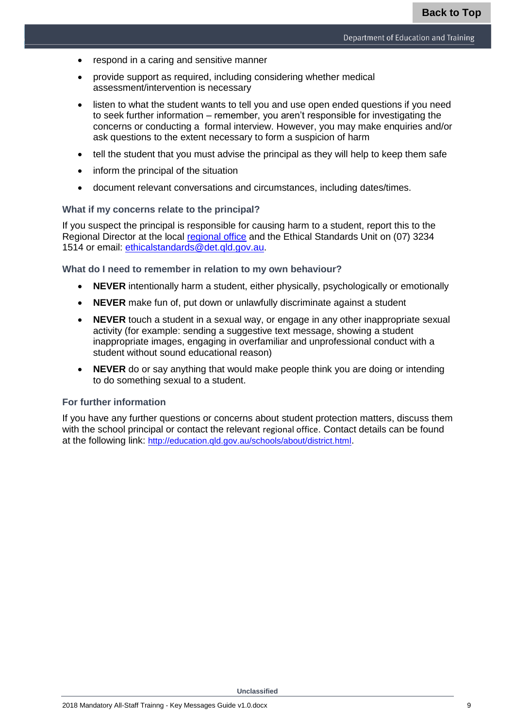- respond in a caring and sensitive manner
- provide support as required, including considering whether medical assessment/intervention is necessary
- listen to what the student wants to tell you and use open ended questions if you need to seek further information – remember, you aren't responsible for investigating the concerns or conducting a formal interview. However, you may make enquiries and/or ask questions to the extent necessary to form a suspicion of harm
- tell the student that you must advise the principal as they will help to keep them safe
- inform the principal of the situation
- document relevant conversations and circumstances, including dates/times.

#### **What if my concerns relate to the principal?**

If you suspect the principal is responsible for causing harm to a student, report this to the Regional Director at the local [regional office](http://education.qld.gov.au/schools/about/district.html) and the Ethical Standards Unit on (07) 3234 1514 or email: [ethicalstandards@det.qld.gov.au.](mailto:ethicalstandards@det.qld.gov.au)

#### **What do I need to remember in relation to my own behaviour?**

- **NEVER** intentionally harm a student, either physically, psychologically or emotionally
- **NEVER** make fun of, put down or unlawfully discriminate against a student
- **NEVER** touch a student in a sexual way, or engage in any other inappropriate sexual activity (for example: sending a suggestive text message, showing a student inappropriate images, engaging in overfamiliar and unprofessional conduct with a student without sound educational reason)
- **NEVER** do or say anything that would make people think you are doing or intending to do something sexual to a student.

#### **For further information**

If you have any further questions or concerns about student protection matters, discuss them with the school principal or contact the relevant regional office. Contact details can be found at the following link: <http://education.qld.gov.au/schools/about/district.html>.